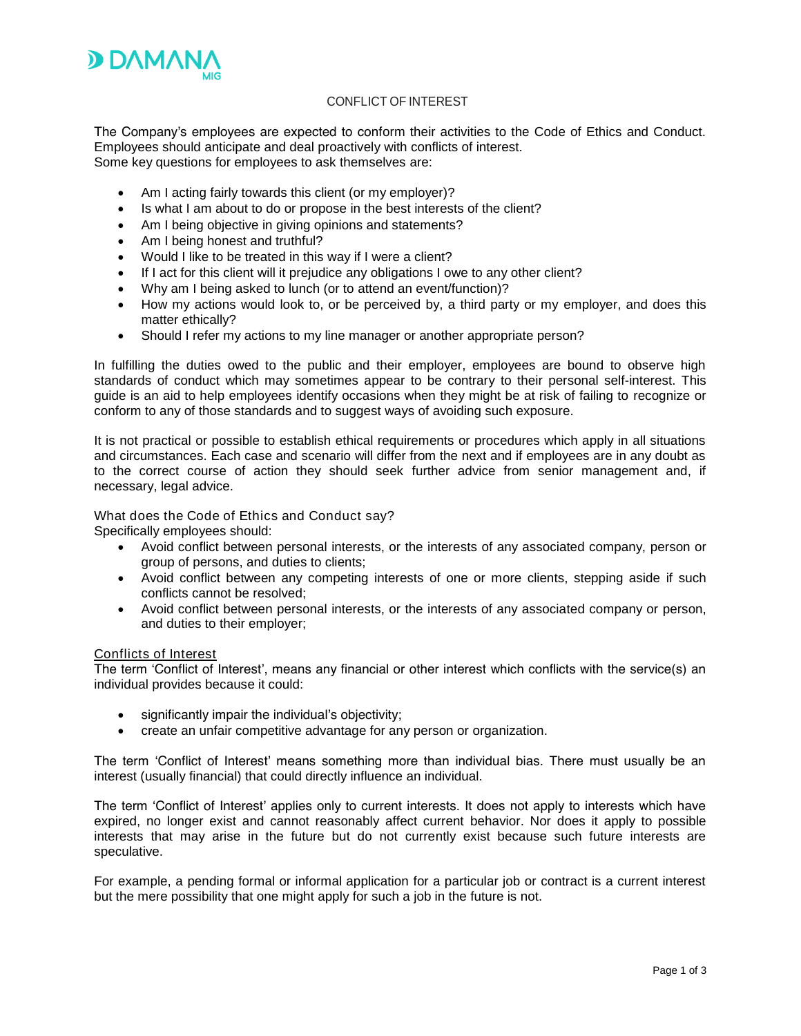

## CONFLICT OF INTEREST

The Company's employees are expected to conform their activities to the Code of Ethics and Conduct. Employees should anticipate and deal proactively with conflicts of interest. Some key questions for employees to ask themselves are:

- Am I acting fairly towards this client (or my employer)?
- Is what I am about to do or propose in the best interests of the client?
- Am I being objective in giving opinions and statements?
- Am I being honest and truthful?
- Would I like to be treated in this way if I were a client?
- If I act for this client will it prejudice any obligations I owe to any other client?
- Why am I being asked to lunch (or to attend an event/function)?
- How my actions would look to, or be perceived by, a third party or my employer, and does this matter ethically?
- Should I refer my actions to my line manager or another appropriate person?

In fulfilling the duties owed to the public and their employer, employees are bound to observe high standards of conduct which may sometimes appear to be contrary to their personal self-interest. This guide is an aid to help employees identify occasions when they might be at risk of failing to recognize or conform to any of those standards and to suggest ways of avoiding such exposure.

It is not practical or possible to establish ethical requirements or procedures which apply in all situations and circumstances. Each case and scenario will differ from the next and if employees are in any doubt as to the correct course of action they should seek further advice from senior management and, if necessary, legal advice.

### What does the Code of Ethics and Conduct say?

Specifically employees should:

- Avoid conflict between personal interests, or the interests of any associated company, person or group of persons, and duties to clients;
- Avoid conflict between any competing interests of one or more clients, stepping aside if such conflicts cannot be resolved;
- Avoid conflict between personal interests, or the interests of any associated company or person, and duties to their employer;

# Conflicts of Interest

The term 'Conflict of Interest', means any financial or other interest which conflicts with the service(s) an individual provides because it could:

- significantly impair the individual's objectivity:
- create an unfair competitive advantage for any person or organization.

The term 'Conflict of Interest' means something more than individual bias. There must usually be an interest (usually financial) that could directly influence an individual.

The term 'Conflict of Interest' applies only to current interests. It does not apply to interests which have expired, no longer exist and cannot reasonably affect current behavior. Nor does it apply to possible interests that may arise in the future but do not currently exist because such future interests are speculative.

For example, a pending formal or informal application for a particular job or contract is a current interest but the mere possibility that one might apply for such a job in the future is not.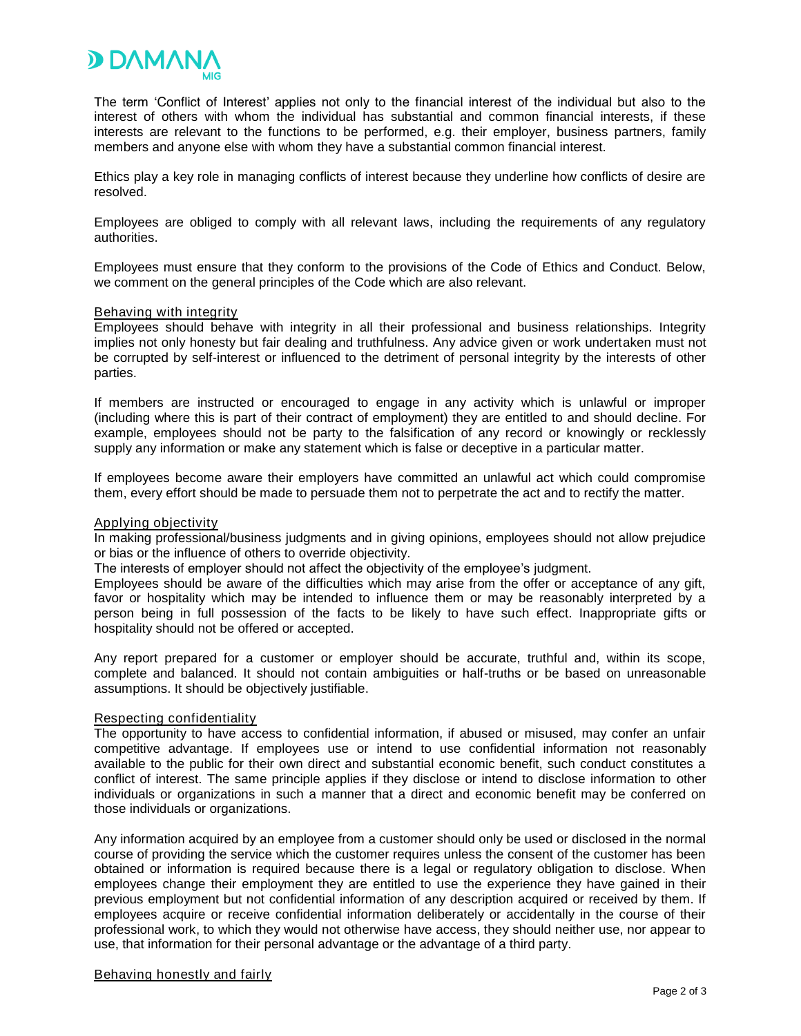

The term 'Conflict of Interest' applies not only to the financial interest of the individual but also to the interest of others with whom the individual has substantial and common financial interests, if these interests are relevant to the functions to be performed, e.g. their employer, business partners, family members and anyone else with whom they have a substantial common financial interest.

Ethics play a key role in managing conflicts of interest because they underline how conflicts of desire are resolved.

Employees are obliged to comply with all relevant laws, including the requirements of any regulatory authorities.

Employees must ensure that they conform to the provisions of the Code of Ethics and Conduct. Below, we comment on the general principles of the Code which are also relevant.

#### Behaving with integrity

Employees should behave with integrity in all their professional and business relationships. Integrity implies not only honesty but fair dealing and truthfulness. Any advice given or work undertaken must not be corrupted by self-interest or influenced to the detriment of personal integrity by the interests of other parties.

If members are instructed or encouraged to engage in any activity which is unlawful or improper (including where this is part of their contract of employment) they are entitled to and should decline. For example, employees should not be party to the falsification of any record or knowingly or recklessly supply any information or make any statement which is false or deceptive in a particular matter.

If employees become aware their employers have committed an unlawful act which could compromise them, every effort should be made to persuade them not to perpetrate the act and to rectify the matter.

## Applying objectivity

In making professional/business judgments and in giving opinions, employees should not allow prejudice or bias or the influence of others to override objectivity.

The interests of employer should not affect the objectivity of the employee's judgment.

Employees should be aware of the difficulties which may arise from the offer or acceptance of any gift, favor or hospitality which may be intended to influence them or may be reasonably interpreted by a person being in full possession of the facts to be likely to have such effect. Inappropriate gifts or hospitality should not be offered or accepted.

Any report prepared for a customer or employer should be accurate, truthful and, within its scope, complete and balanced. It should not contain ambiguities or half-truths or be based on unreasonable assumptions. It should be objectively justifiable.

## Respecting confidentiality

The opportunity to have access to confidential information, if abused or misused, may confer an unfair competitive advantage. If employees use or intend to use confidential information not reasonably available to the public for their own direct and substantial economic benefit, such conduct constitutes a conflict of interest. The same principle applies if they disclose or intend to disclose information to other individuals or organizations in such a manner that a direct and economic benefit may be conferred on those individuals or organizations.

Any information acquired by an employee from a customer should only be used or disclosed in the normal course of providing the service which the customer requires unless the consent of the customer has been obtained or information is required because there is a legal or regulatory obligation to disclose. When employees change their employment they are entitled to use the experience they have gained in their previous employment but not confidential information of any description acquired or received by them. If employees acquire or receive confidential information deliberately or accidentally in the course of their professional work, to which they would not otherwise have access, they should neither use, nor appear to use, that information for their personal advantage or the advantage of a third party.

## Behaving honestly and fairly